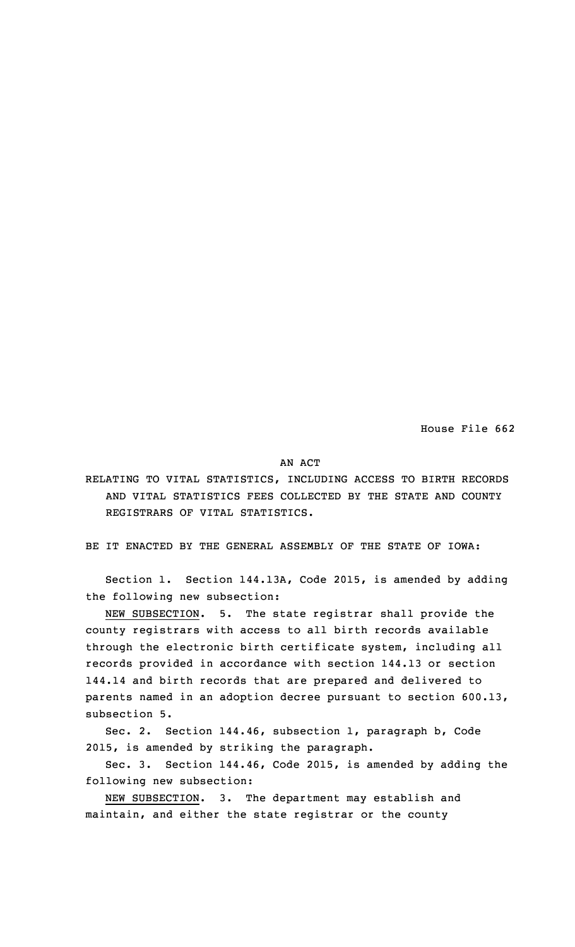House File 662

## AN ACT

RELATING TO VITAL STATISTICS, INCLUDING ACCESS TO BIRTH RECORDS AND VITAL STATISTICS FEES COLLECTED BY THE STATE AND COUNTY REGISTRARS OF VITAL STATISTICS.

BE IT ENACTED BY THE GENERAL ASSEMBLY OF THE STATE OF IOWA:

Section 1. Section 144.13A, Code 2015, is amended by adding the following new subsection:

NEW SUBSECTION. 5. The state registrar shall provide the county registrars with access to all birth records available through the electronic birth certificate system, including all records provided in accordance with section 144.13 or section 144.14 and birth records that are prepared and delivered to parents named in an adoption decree pursuant to section 600.13, subsection 5.

Sec. 2. Section 144.46, subsection 1, paragraph b, Code 2015, is amended by striking the paragraph.

Sec. 3. Section 144.46, Code 2015, is amended by adding the following new subsection:

NEW SUBSECTION. 3. The department may establish and maintain, and either the state registrar or the county